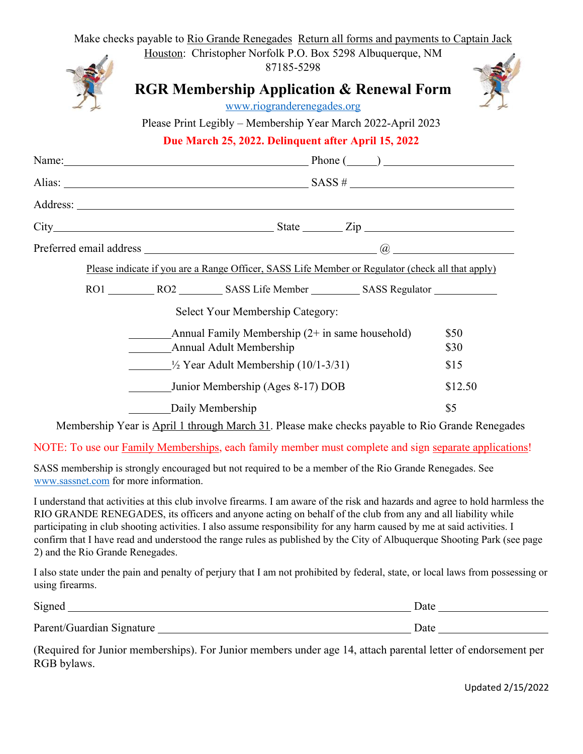|                                       | Make checks payable to Rio Grande Renegades Return all forms and payments to Captain Jack<br>Houston: Christopher Norfolk P.O. Box 5298 Albuquerque, NM                                                                                                                                                                                                                                                                     |              |
|---------------------------------------|-----------------------------------------------------------------------------------------------------------------------------------------------------------------------------------------------------------------------------------------------------------------------------------------------------------------------------------------------------------------------------------------------------------------------------|--------------|
|                                       | 87185-5298                                                                                                                                                                                                                                                                                                                                                                                                                  |              |
|                                       | <b>RGR Membership Application &amp; Renewal Form</b><br>www.riogranderenegades.org                                                                                                                                                                                                                                                                                                                                          |              |
|                                       | Please Print Legibly - Membership Year March 2022-April 2023                                                                                                                                                                                                                                                                                                                                                                |              |
|                                       | Due March 25, 2022. Delinquent after April 15, 2022                                                                                                                                                                                                                                                                                                                                                                         |              |
|                                       | Name: Phone (2014) Phone (2014) Phone (2014) 2                                                                                                                                                                                                                                                                                                                                                                              |              |
|                                       | Alias: $\frac{\text{SASS} \# \text{SASS} \# \text{SASS} \# \text{SASS} \# \text{SASS} \# \text{SASS} \# \text{SASS} \# \text{SASS} \# \text{SASS} \# \text{SASS} \# \text{SASS} \# \text{SASS} \# \text{SASS} \# \text{SASS} \# \text{SASS} \# \text{SASS} \# \text{SASS} \# \text{SASS} \# \text{SASS} \# \text{SASS} \# \text{SASS} \# \text{SASS} \# \text{SASS} \# \text{SASS} \# \text{SASS} \# \text{SASS} \# \text{$ |              |
|                                       |                                                                                                                                                                                                                                                                                                                                                                                                                             |              |
|                                       |                                                                                                                                                                                                                                                                                                                                                                                                                             |              |
|                                       |                                                                                                                                                                                                                                                                                                                                                                                                                             |              |
|                                       | Please indicate if you are a Range Officer, SASS Life Member or Regulator (check all that apply)                                                                                                                                                                                                                                                                                                                            |              |
|                                       |                                                                                                                                                                                                                                                                                                                                                                                                                             |              |
|                                       | Select Your Membership Category:                                                                                                                                                                                                                                                                                                                                                                                            |              |
|                                       | Annual Family Membership (2+ in same household)<br><b>Annual Adult Membership</b>                                                                                                                                                                                                                                                                                                                                           | \$50<br>\$30 |
|                                       | $\frac{1}{2}$ Year Adult Membership (10/1-3/31)                                                                                                                                                                                                                                                                                                                                                                             | \$15         |
|                                       | Junior Membership (Ages 8-17) DOB                                                                                                                                                                                                                                                                                                                                                                                           | \$12.50      |
|                                       | Daily Membership                                                                                                                                                                                                                                                                                                                                                                                                            | \$5          |
|                                       | Membership Year is April 1 through March 31. Please make checks payable to Rio Grande Renegades                                                                                                                                                                                                                                                                                                                             |              |
|                                       | NOTE: To use our Family Memberships, each family member must complete and sign separate applications!                                                                                                                                                                                                                                                                                                                       |              |
| www.sassnet.com for more information. | SASS membership is strongly encouraged but not required to be a member of the Rio Grande Renegades. See                                                                                                                                                                                                                                                                                                                     |              |

I understand that activities at this club involve firearms. I am aware of the risk and hazards and agree to hold harmless the RIO GRANDE RENEGADES, its officers and anyone acting on behalf of the club from any and all liability while participating in club shooting activities. I also assume responsibility for any harm caused by me at said activities. I confirm that I have read and understood the range rules as published by the City of Albuquerque Shooting Park (see page 2) and the Rio Grande Renegades.

I also state under the pain and penalty of perjury that I am not prohibited by federal, state, or local laws from possessing or using firearms.

| Signed                    | Jate |
|---------------------------|------|
| Parent/Guardian Signature | Date |

(Required for Junior memberships). For Junior members under age 14, attach parental letter of endorsement per RGB bylaws.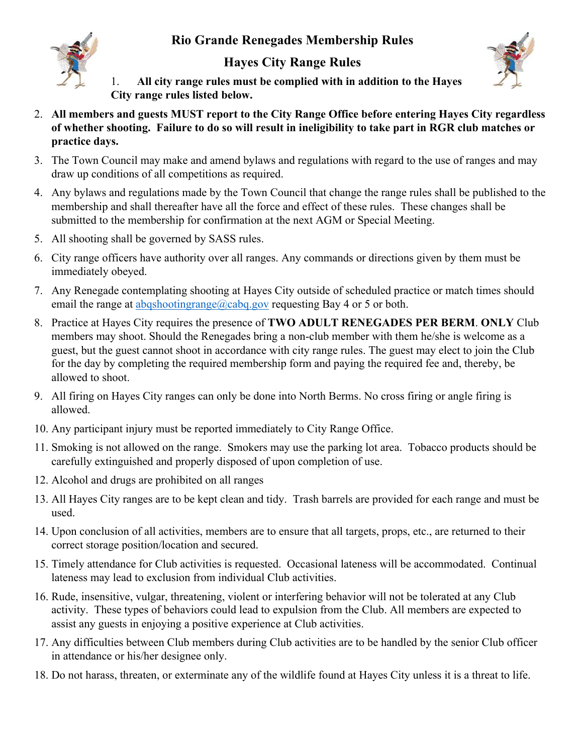## **Rio Grande Renegades Membership Rules**



## **Hayes City Range Rules**



1. **All city range rules must be complied with in addition to the Hayes City range rules listed below.**

- 2. **All members and guests MUST report to the City Range Office before entering Hayes City regardless of whether shooting. Failure to do so will result in ineligibility to take part in RGR club matches or practice days.**
- 3. The Town Council may make and amend bylaws and regulations with regard to the use of ranges and may draw up conditions of all competitions as required.
- 4. Any bylaws and regulations made by the Town Council that change the range rules shall be published to the membership and shall thereafter have all the force and effect of these rules. These changes shall be submitted to the membership for confirmation at the next AGM or Special Meeting.
- 5. All shooting shall be governed by SASS rules.
- 6. City range officers have authority over all ranges. Any commands or directions given by them must be immediately obeyed.
- 7. Any Renegade contemplating shooting at Hayes City outside of scheduled practice or match times should email the range at abqshootingrange@cabq.gov requesting Bay 4 or 5 or both.
- 8. Practice at Hayes City requires the presence of **TWO ADULT RENEGADES PER BERM**. **ONLY** Club members may shoot. Should the Renegades bring a non-club member with them he/she is welcome as a guest, but the guest cannot shoot in accordance with city range rules. The guest may elect to join the Club for the day by completing the required membership form and paying the required fee and, thereby, be allowed to shoot.
- 9. All firing on Hayes City ranges can only be done into North Berms. No cross firing or angle firing is allowed.
- 10. Any participant injury must be reported immediately to City Range Office.
- 11. Smoking is not allowed on the range. Smokers may use the parking lot area. Tobacco products should be carefully extinguished and properly disposed of upon completion of use.
- 12. Alcohol and drugs are prohibited on all ranges
- 13. All Hayes City ranges are to be kept clean and tidy. Trash barrels are provided for each range and must be used.
- 14. Upon conclusion of all activities, members are to ensure that all targets, props, etc., are returned to their correct storage position/location and secured.
- 15. Timely attendance for Club activities is requested. Occasional lateness will be accommodated. Continual lateness may lead to exclusion from individual Club activities.
- 16. Rude, insensitive, vulgar, threatening, violent or interfering behavior will not be tolerated at any Club activity. These types of behaviors could lead to expulsion from the Club. All members are expected to assist any guests in enjoying a positive experience at Club activities.
- 17. Any difficulties between Club members during Club activities are to be handled by the senior Club officer in attendance or his/her designee only.
- 18. Do not harass, threaten, or exterminate any of the wildlife found at Hayes City unless it is a threat to life.